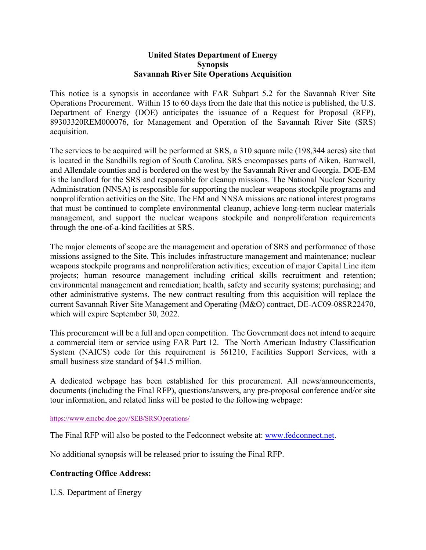## **United States Department of Energy Synopsis Savannah River Site Operations Acquisition**

This notice is a synopsis in accordance with FAR Subpart 5.2 for the Savannah River Site Operations Procurement. Within 15 to 60 days from the date that this notice is published, the U.S. Department of Energy (DOE) anticipates the issuance of a Request for Proposal (RFP), 89303320REM000076, for Management and Operation of the Savannah River Site (SRS) acquisition.

The services to be acquired will be performed at SRS, a 310 square mile (198,344 acres) site that is located in the Sandhills region of South Carolina. SRS encompasses parts of Aiken, Barnwell, and Allendale counties and is bordered on the west by the Savannah River and Georgia. DOE-EM is the landlord for the SRS and responsible for cleanup missions. The National Nuclear Security Administration (NNSA) is responsible for supporting the nuclear weapons stockpile programs and nonproliferation activities on the Site. The EM and NNSA missions are national interest programs that must be continued to complete environmental cleanup, achieve long-term nuclear materials management, and support the nuclear weapons stockpile and nonproliferation requirements through the one-of-a-kind facilities at SRS.

The major elements of scope are the management and operation of SRS and performance of those missions assigned to the Site. This includes infrastructure management and maintenance; nuclear weapons stockpile programs and nonproliferation activities; execution of major Capital Line item projects; human resource management including critical skills recruitment and retention; environmental management and remediation; health, safety and security systems; purchasing; and other administrative systems. The new contract resulting from this acquisition will replace the current Savannah River Site Management and Operating (M&O) contract, DE-AC09-08SR22470, which will expire September 30, 2022.

This procurement will be a full and open competition. The Government does not intend to acquire a commercial item or service using FAR Part 12. The North American Industry Classification System (NAICS) code for this requirement is 561210, Facilities Support Services, with a small business size standard of \$41.5 million.

A dedicated webpage has been established for this procurement. All news/announcements, documents (including the Final RFP), questions/answers, any pre-proposal conference and/or site tour information, and related links will be posted to the following webpage:

<https://www.emcbc.doe.gov/SEB/SRSOperations/>

The Final RFP will also be posted to the Fedconnect website at[: www.fedconnect.net.](http://www.fedconnect.net/)

No additional synopsis will be released prior to issuing the Final RFP.

## **Contracting Office Address:**

U.S. Department of Energy